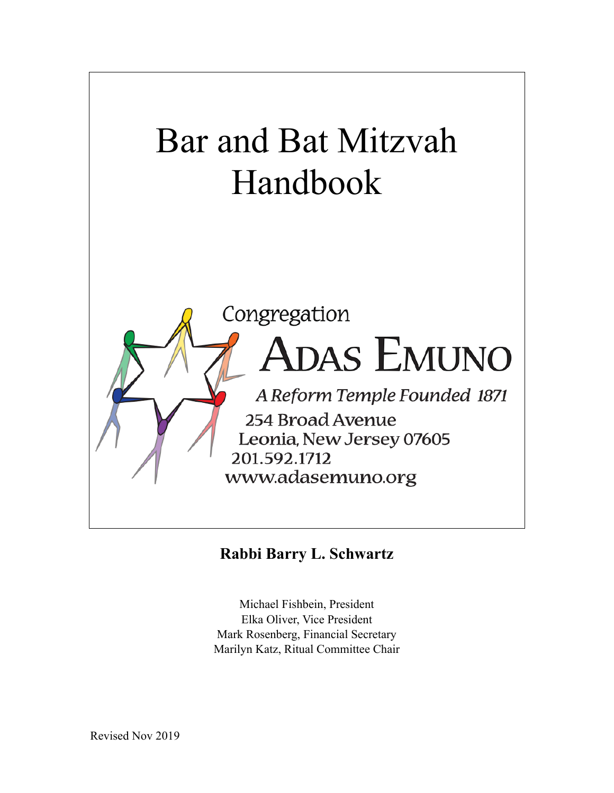

### **Rabbi Barry L. Schwartz**

Michael Fishbein, President Elka Oliver, Vice President Mark Rosenberg, Financial Secretary Marilyn Katz, Ritual Committee Chair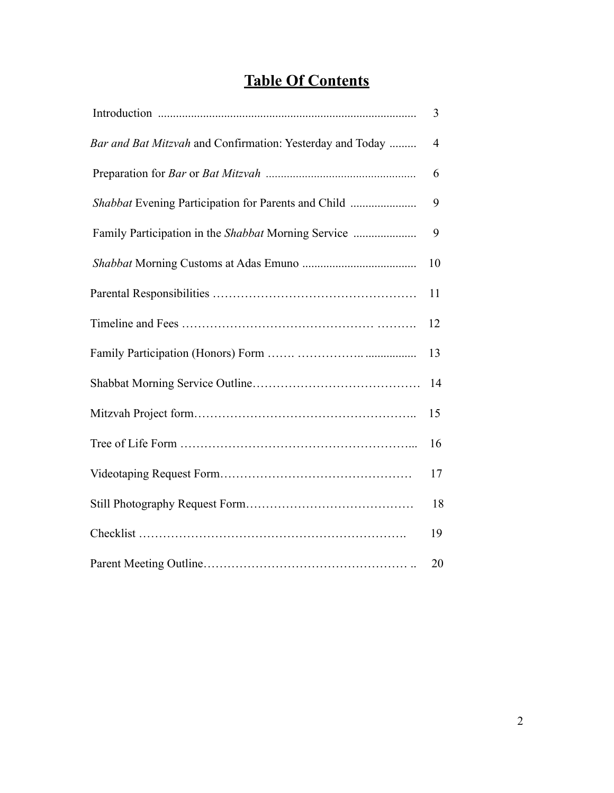## **Table Of Contents**

|                                                           | 3              |
|-----------------------------------------------------------|----------------|
| Bar and Bat Mitzvah and Confirmation: Yesterday and Today | $\overline{4}$ |
|                                                           | 6              |
|                                                           | 9              |
|                                                           | 9              |
|                                                           | 10             |
|                                                           | 11             |
|                                                           | 12             |
|                                                           | 13             |
|                                                           | 14             |
|                                                           | 15             |
|                                                           | 16             |
|                                                           | 17             |
|                                                           | 18             |
|                                                           | 19             |
|                                                           | 20             |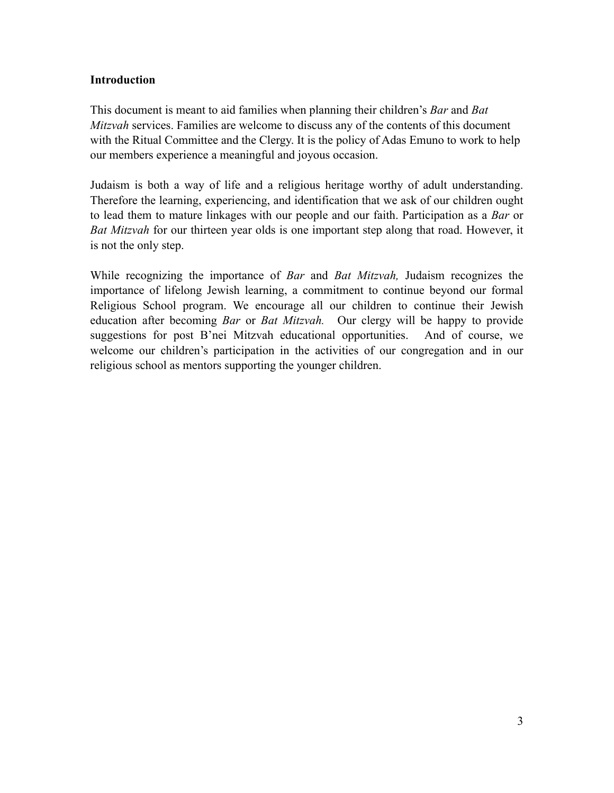#### **Introduction**

This document is meant to aid families when planning their children's *Bar* and *Bat Mitzvah* services. Families are welcome to discuss any of the contents of this document with the Ritual Committee and the Clergy. It is the policy of Adas Emuno to work to help our members experience a meaningful and joyous occasion.

Judaism is both a way of life and a religious heritage worthy of adult understanding. Therefore the learning, experiencing, and identification that we ask of our children ought to lead them to mature linkages with our people and our faith. Participation as a *Bar* or *Bat Mitzvah* for our thirteen year olds is one important step along that road. However, it is not the only step.

While recognizing the importance of *Bar* and *Bat Mitzvah,* Judaism recognizes the importance of lifelong Jewish learning, a commitment to continue beyond our formal Religious School program. We encourage all our children to continue their Jewish education after becoming *Bar* or *Bat Mitzvah.* Our clergy will be happy to provide suggestions for post B'nei Mitzvah educational opportunities. And of course, we welcome our children's participation in the activities of our congregation and in our religious school as mentors supporting the younger children.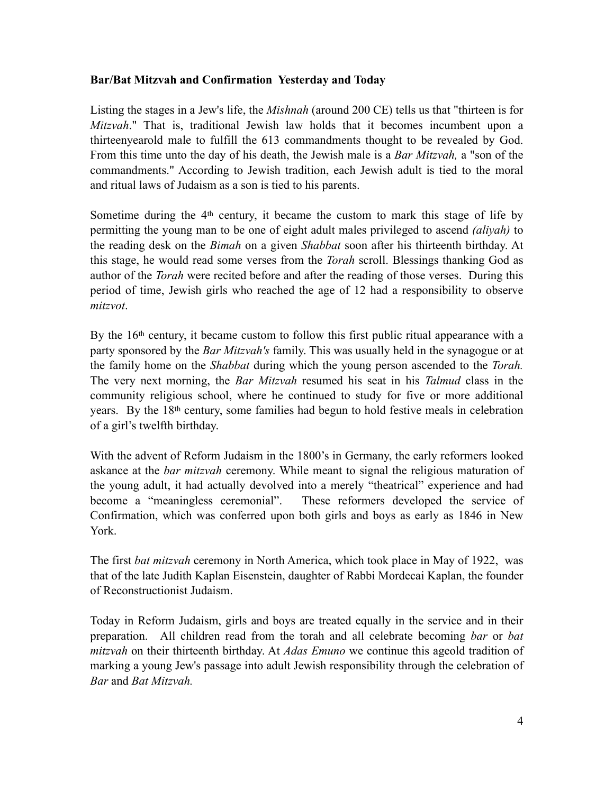#### **Bar/Bat Mitzvah and Confirmation Yesterday and Today**

Listing the stages in a Jew's life, the *Mishnah* (around 200 CE) tells us that "thirteen is for *Mitzvah*." That is, traditional Jewish law holds that it becomes incumbent upon a thirteenyearold male to fulfill the 613 commandments thought to be revealed by God. From this time unto the day of his death, the Jewish male is a *Bar Mitzvah,* a "son of the commandments." According to Jewish tradition, each Jewish adult is tied to the moral and ritual laws of Judaism as a son is tied to his parents.

Sometime during the 4<sup>th</sup> century, it became the custom to mark this stage of life by permitting the young man to be one of eight adult males privileged to ascend *(aliyah)* to the reading desk on the *Bimah* on a given *Shabbat* soon after his thirteenth birthday. At this stage, he would read some verses from the *Torah* scroll. Blessings thanking God as author of the *Torah* were recited before and after the reading of those verses. During this period of time, Jewish girls who reached the age of 12 had a responsibility to observe *mitzvot*.

By the 16<sup>th</sup> century, it became custom to follow this first public ritual appearance with a party sponsored by the *Bar Mitzvah's* family. This was usually held in the synagogue or at the family home on the *Shabbat* during which the young person ascended to the *Torah.*  The very next morning, the *Bar Mitzvah* resumed his seat in his *Talmud* class in the community religious school, where he continued to study for five or more additional years. By the 18th century, some families had begun to hold festive meals in celebration of a girl's twelfth birthday.

With the advent of Reform Judaism in the 1800's in Germany, the early reformers looked askance at the *bar mitzvah* ceremony. While meant to signal the religious maturation of the young adult, it had actually devolved into a merely "theatrical" experience and had become a "meaningless ceremonial". These reformers developed the service of Confirmation, which was conferred upon both girls and boys as early as 1846 in New York.

The first *bat mitzvah* ceremony in North America, which took place in May of 1922, was that of the late Judith Kaplan Eisenstein, daughter of Rabbi Mordecai Kaplan, the founder of Reconstructionist Judaism.

Today in Reform Judaism, girls and boys are treated equally in the service and in their preparation. All children read from the torah and all celebrate becoming *bar* or *bat mitzvah* on their thirteenth birthday. At *Adas Emuno* we continue this ageold tradition of marking a young Jew's passage into adult Jewish responsibility through the celebration of *Bar* and *Bat Mitzvah.*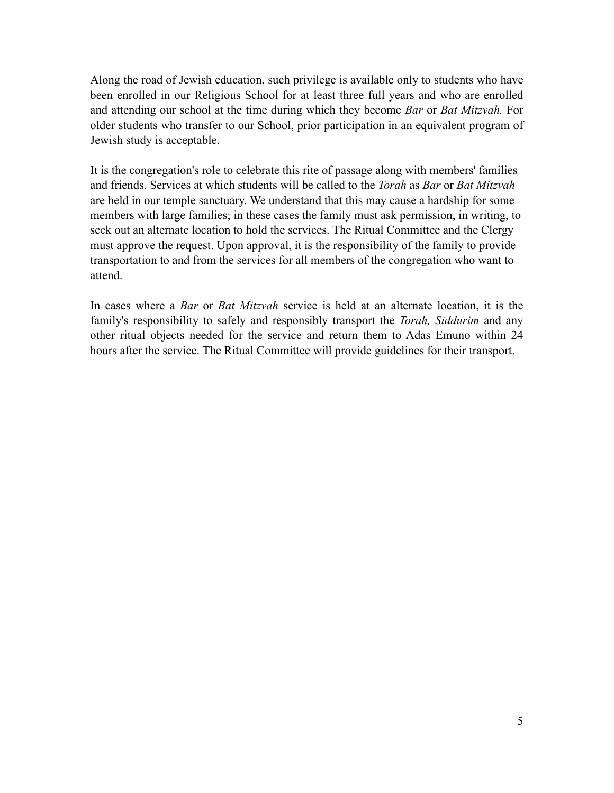Along the road of Jewish education, such privilege is available only to students who have been enrolled in our Religious School for at least three full years and who are enrolled and attending our school at the time during which they become *Bar* or *Bat Mitzvah.* For older students who transfer to our School, prior participation in an equivalent program of Jewish study is acceptable.

It is the congregation's role to celebrate this rite of passage along with members' families and friends. Services at which students will be called to the *Torah* as *Bar* or *Bat Mitzvah*  are held in our temple sanctuary. We understand that this may cause a hardship for some members with large families; in these cases the family must ask permission, in writing, to seek out an alternate location to hold the services. The Ritual Committee and the Clergy must approve the request. Upon approval, it is the responsibility of the family to provide transportation to and from the services for all members of the congregation who want to attend.

In cases where a *Bar* or *Bat Mitzvah* service is held at an alternate location, it is the family's responsibility to safely and responsibly transport the *Torah, Siddurim* and any other ritual objects needed for the service and return them to Adas Emuno within 24 hours after the service. The Ritual Committee will provide guidelines for their transport.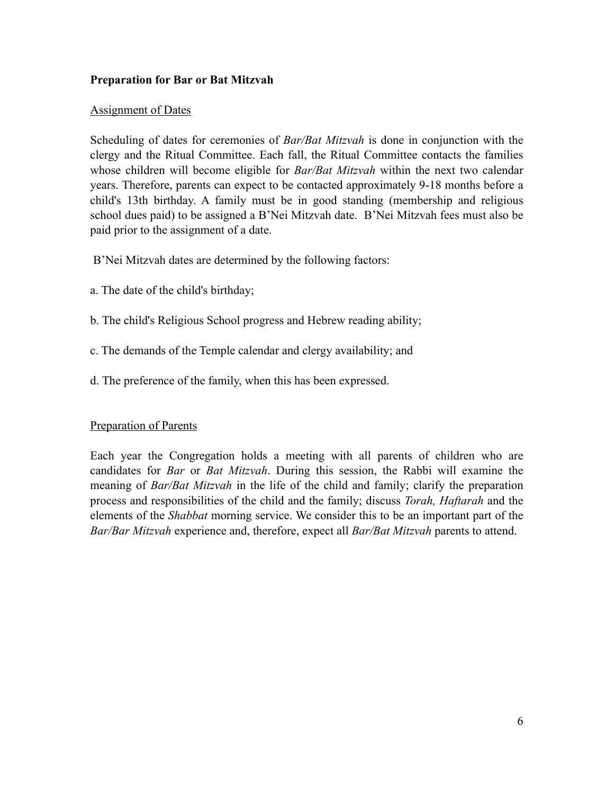#### **Preparation for Bar or Bat Mitzvah**

#### Assignment of Dates

Scheduling of dates for ceremonies of *Bar/Bat Mitzvah* is done in conjunction with the clergy and the Ritual Committee. Each fall, the Ritual Committee contacts the families whose children will become eligible for *Bar/Bat Mitzvah* within the next two calendar years. Therefore, parents can expect to be contacted approximately 9-18 months before a child's 13th birthday. A family must be in good standing (membership and religious school dues paid) to be assigned a B'Nei Mitzvah date. B'Nei Mitzvah fees must also be paid prior to the assignment of a date.

- B'Nei Mitzvah dates are determined by the following factors:
- a. The date of the child's birthday;
- b. The child's Religious School progress and Hebrew reading ability;
- c. The demands of the Temple calendar and clergy availability; and
- d. The preference of the family, when this has been expressed.

#### Preparation of Parents

Each year the Congregation holds a meeting with all parents of children who are candidates for *Bar* or *Bat Mitzvah*. During this session, the Rabbi will examine the meaning of *Bar/Bat Mitzvah* in the life of the child and family; clarify the preparation process and responsibilities of the child and the family; discuss *Torah, Haftarah* and the elements of the *Shabbat* morning service. We consider this to be an important part of the *Bar/Bar Mitzvah* experience and, therefore, expect all *Bar/Bat Mitzvah* parents to attend.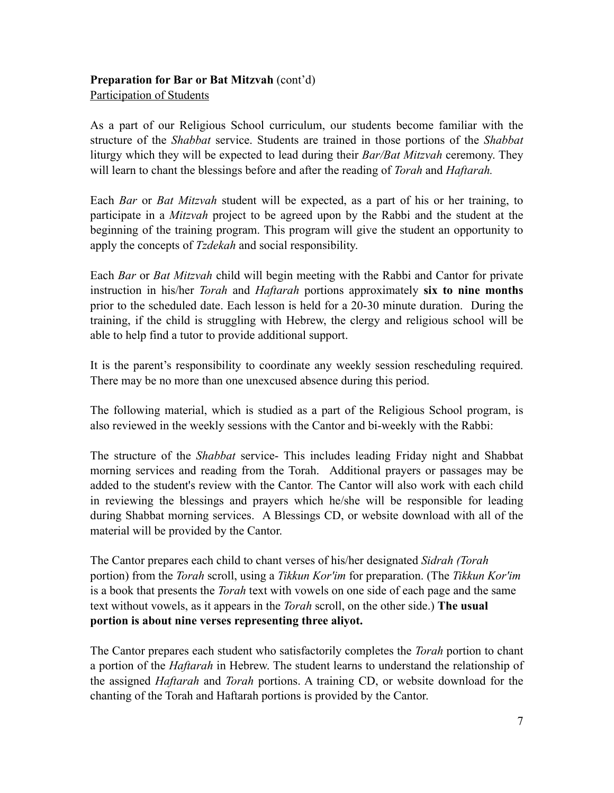#### **Preparation for Bar or Bat Mitzvah** (cont'd) Participation of Students

As a part of our Religious School curriculum, our students become familiar with the structure of the *Shabbat* service. Students are trained in those portions of the *Shabbat*  liturgy which they will be expected to lead during their *Bar/Bat Mitzvah* ceremony. They will learn to chant the blessings before and after the reading of *Torah* and *Haftarah.* 

Each *Bar* or *Bat Mitzvah* student will be expected, as a part of his or her training, to participate in a *Mitzvah* project to be agreed upon by the Rabbi and the student at the beginning of the training program. This program will give the student an opportunity to apply the concepts of *Tzdekah* and social responsibility.

Each *Bar* or *Bat Mitzvah* child will begin meeting with the Rabbi and Cantor for private instruction in his/her *Torah* and *Haftarah* portions approximately **six to nine months** prior to the scheduled date. Each lesson is held for a 20-30 minute duration. During the training, if the child is struggling with Hebrew, the clergy and religious school will be able to help find a tutor to provide additional support.

It is the parent's responsibility to coordinate any weekly session rescheduling required. There may be no more than one unexcused absence during this period.

The following material, which is studied as a part of the Religious School program, is also reviewed in the weekly sessions with the Cantor and bi-weekly with the Rabbi:

The structure of the *Shabbat* service- This includes leading Friday night and Shabbat morning services and reading from the Torah. Additional prayers or passages may be added to the student's review with the Cantor. The Cantor will also work with each child in reviewing the blessings and prayers which he/she will be responsible for leading during Shabbat morning services. A Blessings CD, or website download with all of the material will be provided by the Cantor.

The Cantor prepares each child to chant verses of his/her designated *Sidrah (Torah*  portion) from the *Torah* scroll, using a *Tikkun Kor'im* for preparation. (The *Tikkun Kor'im*  is a book that presents the *Torah* text with vowels on one side of each page and the same text without vowels, as it appears in the *Torah* scroll, on the other side.) **The usual portion is about nine verses representing three aliyot.**

The Cantor prepares each student who satisfactorily completes the *Torah* portion to chant a portion of the *Haftarah* in Hebrew. The student learns to understand the relationship of the assigned *Haftarah* and *Torah* portions. A training CD, or website download for the chanting of the Torah and Haftarah portions is provided by the Cantor.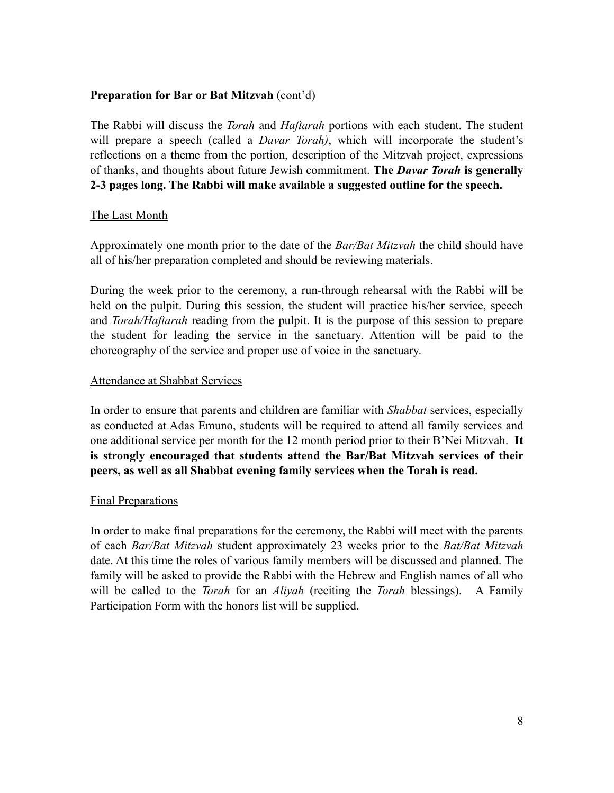#### **Preparation for Bar or Bat Mitzvah** (cont'd)

The Rabbi will discuss the *Torah* and *Haftarah* portions with each student. The student will prepare a speech (called a *Davar Torah)*, which will incorporate the student's reflections on a theme from the portion, description of the Mitzvah project, expressions of thanks, and thoughts about future Jewish commitment. **The** *Davar Torah* **is generally 2-3 pages long. The Rabbi will make available a suggested outline for the speech.**

#### The Last Month

Approximately one month prior to the date of the *Bar/Bat Mitzvah* the child should have all of his/her preparation completed and should be reviewing materials.

During the week prior to the ceremony, a run-through rehearsal with the Rabbi will be held on the pulpit. During this session, the student will practice his/her service, speech and *Torah/Haftarah* reading from the pulpit. It is the purpose of this session to prepare the student for leading the service in the sanctuary. Attention will be paid to the choreography of the service and proper use of voice in the sanctuary.

#### Attendance at Shabbat Services

In order to ensure that parents and children are familiar with *Shabbat* services, especially as conducted at Adas Emuno, students will be required to attend all family services and one additional service per month for the 12 month period prior to their B'Nei Mitzvah. **It is strongly encouraged that students attend the Bar/Bat Mitzvah services of their peers, as well as all Shabbat evening family services when the Torah is read.** 

#### Final Preparations

In order to make final preparations for the ceremony, the Rabbi will meet with the parents of each *Bar/Bat Mitzvah* student approximately 23 weeks prior to the *Bat/Bat Mitzvah*  date. At this time the roles of various family members will be discussed and planned. The family will be asked to provide the Rabbi with the Hebrew and English names of all who will be called to the *Torah* for an *Aliyah* (reciting the *Torah* blessings). A Family Participation Form with the honors list will be supplied.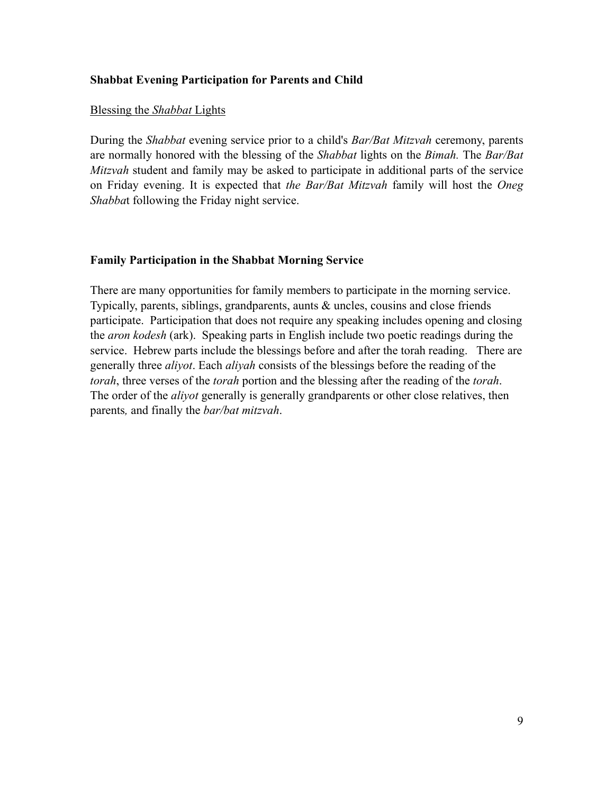#### **Shabbat Evening Participation for Parents and Child**

#### Blessing the *Shabbat* Lights

During the *Shabbat* evening service prior to a child's *Bar/Bat Mitzvah* ceremony, parents are normally honored with the blessing of the *Shabbat* lights on the *Bimah.* The *Bar/Bat Mitzvah* student and family may be asked to participate in additional parts of the service on Friday evening. It is expected that *the Bar/Bat Mitzvah* family will host the *Oneg Shabba*t following the Friday night service.

#### **Family Participation in the Shabbat Morning Service**

There are many opportunities for family members to participate in the morning service. Typically, parents, siblings, grandparents, aunts & uncles, cousins and close friends participate. Participation that does not require any speaking includes opening and closing the *aron kodesh* (ark). Speaking parts in English include two poetic readings during the service. Hebrew parts include the blessings before and after the torah reading. There are generally three *aliyot*. Each *aliyah* consists of the blessings before the reading of the *torah*, three verses of the *torah* portion and the blessing after the reading of the *torah*. The order of the *aliyot* generally is generally grandparents or other close relatives, then parents*,* and finally the *bar/bat mitzvah*.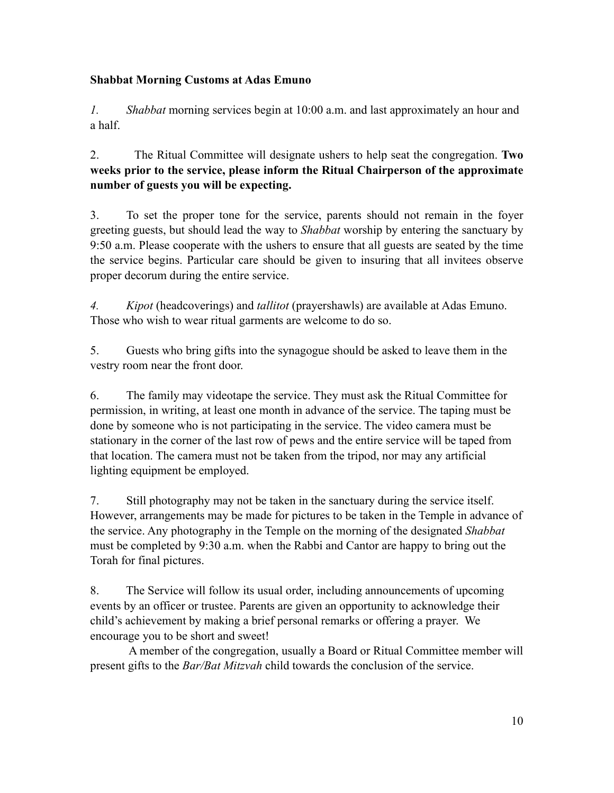#### **Shabbat Morning Customs at Adas Emuno**

*1. Shabbat* morning services begin at 10:00 a.m. and last approximately an hour and a half.

2. The Ritual Committee will designate ushers to help seat the congregation. **Two weeks prior to the service, please inform the Ritual Chairperson of the approximate number of guests you will be expecting.** 

3. To set the proper tone for the service, parents should not remain in the foyer greeting guests, but should lead the way to *Shabbat* worship by entering the sanctuary by 9:50 a.m. Please cooperate with the ushers to ensure that all guests are seated by the time the service begins. Particular care should be given to insuring that all invitees observe proper decorum during the entire service.

*4. Kipot* (headcoverings) and *tallitot* (prayershawls) are available at Adas Emuno. Those who wish to wear ritual garments are welcome to do so.

5. Guests who bring gifts into the synagogue should be asked to leave them in the vestry room near the front door.

6. The family may videotape the service. They must ask the Ritual Committee for permission, in writing, at least one month in advance of the service. The taping must be done by someone who is not participating in the service. The video camera must be stationary in the corner of the last row of pews and the entire service will be taped from that location. The camera must not be taken from the tripod, nor may any artificial lighting equipment be employed.

7. Still photography may not be taken in the sanctuary during the service itself. However, arrangements may be made for pictures to be taken in the Temple in advance of the service. Any photography in the Temple on the morning of the designated *Shabbat*  must be completed by 9:30 a.m. when the Rabbi and Cantor are happy to bring out the Torah for final pictures.

8. The Service will follow its usual order, including announcements of upcoming events by an officer or trustee. Parents are given an opportunity to acknowledge their child's achievement by making a brief personal remarks or offering a prayer. We encourage you to be short and sweet!

 A member of the congregation, usually a Board or Ritual Committee member will present gifts to the *Bar/Bat Mitzvah* child towards the conclusion of the service.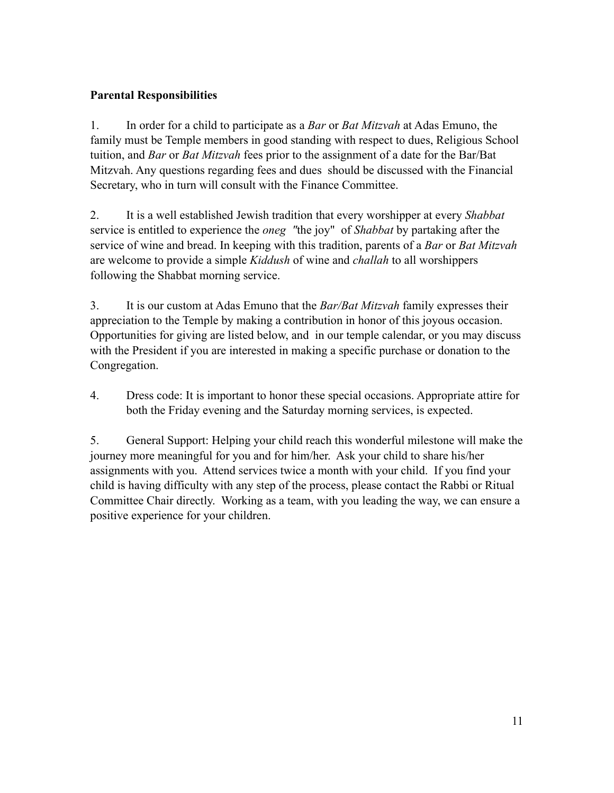#### **Parental Responsibilities**

1. In order for a child to participate as a *Bar* or *Bat Mitzvah* at Adas Emuno, the family must be Temple members in good standing with respect to dues, Religious School tuition, and *Bar* or *Bat Mitzvah* fees prior to the assignment of a date for the Bar/Bat Mitzvah. Any questions regarding fees and dues should be discussed with the Financial Secretary, who in turn will consult with the Finance Committee.

2. It is a well established Jewish tradition that every worshipper at every *Shabbat*  service is entitled to experience the *oneg "*the joy" of *Shabbat* by partaking after the service of wine and bread. In keeping with this tradition, parents of a *Bar* or *Bat Mitzvah*  are welcome to provide a simple *Kiddush* of wine and *challah* to all worshippers following the Shabbat morning service.

3. It is our custom at Adas Emuno that the *Bar/Bat Mitzvah* family expresses their appreciation to the Temple by making a contribution in honor of this joyous occasion. Opportunities for giving are listed below, and in our temple calendar, or you may discuss with the President if you are interested in making a specific purchase or donation to the Congregation.

4. Dress code: It is important to honor these special occasions. Appropriate attire for both the Friday evening and the Saturday morning services, is expected.

5. General Support: Helping your child reach this wonderful milestone will make the journey more meaningful for you and for him/her. Ask your child to share his/her assignments with you. Attend services twice a month with your child. If you find your child is having difficulty with any step of the process, please contact the Rabbi or Ritual Committee Chair directly. Working as a team, with you leading the way, we can ensure a positive experience for your children.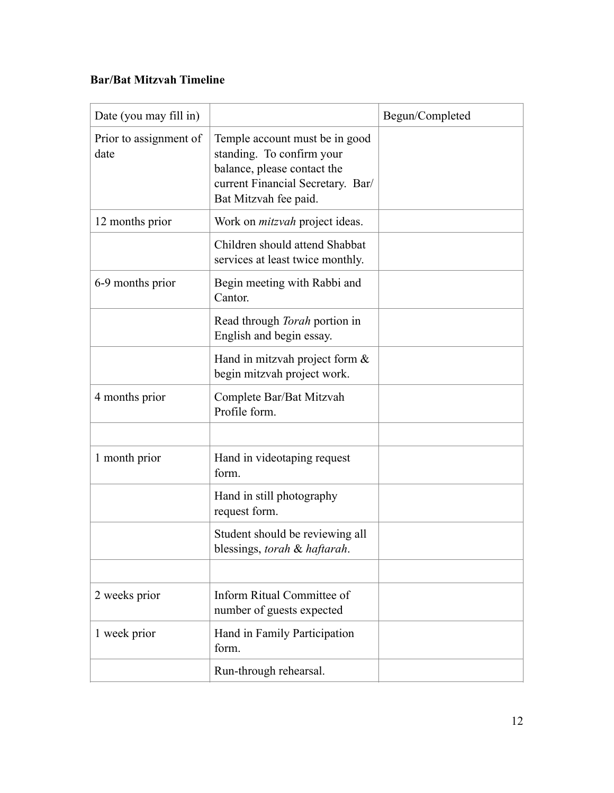#### **Bar/Bat Mitzvah Timeline**

| Date (you may fill in)         |                                                                                                                                                          | Begun/Completed |
|--------------------------------|----------------------------------------------------------------------------------------------------------------------------------------------------------|-----------------|
| Prior to assignment of<br>date | Temple account must be in good<br>standing. To confirm your<br>balance, please contact the<br>current Financial Secretary. Bar/<br>Bat Mitzvah fee paid. |                 |
| 12 months prior                | Work on <i>mitzvah</i> project ideas.                                                                                                                    |                 |
|                                | Children should attend Shabbat<br>services at least twice monthly.                                                                                       |                 |
| 6-9 months prior               | Begin meeting with Rabbi and<br>Cantor.                                                                                                                  |                 |
|                                | Read through <i>Torah</i> portion in<br>English and begin essay.                                                                                         |                 |
|                                | Hand in mitzvah project form $\&$<br>begin mitzvah project work.                                                                                         |                 |
| 4 months prior                 | Complete Bar/Bat Mitzvah<br>Profile form.                                                                                                                |                 |
|                                |                                                                                                                                                          |                 |
| 1 month prior                  | Hand in videotaping request<br>form.                                                                                                                     |                 |
|                                | Hand in still photography<br>request form.                                                                                                               |                 |
|                                | Student should be reviewing all<br>blessings, torah & haftarah.                                                                                          |                 |
|                                |                                                                                                                                                          |                 |
| 2 weeks prior                  | Inform Ritual Committee of<br>number of guests expected                                                                                                  |                 |
| 1 week prior                   | Hand in Family Participation<br>form.                                                                                                                    |                 |
|                                | Run-through rehearsal.                                                                                                                                   |                 |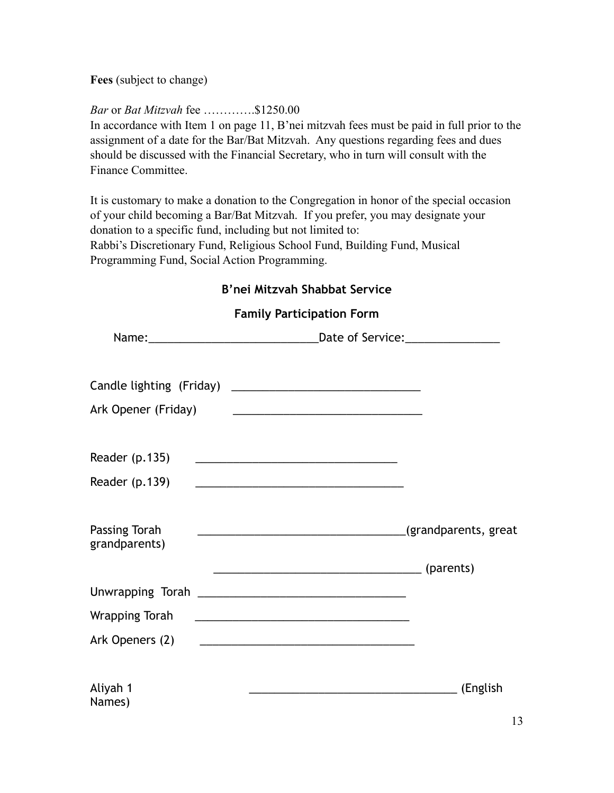**Fees** (subject to change)

#### *Bar* or *Bat Mitzvah* fee ………….\$1250.00

In accordance with Item 1 on page 11, B'nei mitzvah fees must be paid in full prior to the assignment of a date for the Bar/Bat Mitzvah. Any questions regarding fees and dues should be discussed with the Financial Secretary, who in turn will consult with the Finance Committee.

It is customary to make a donation to the Congregation in honor of the special occasion of your child becoming a Bar/Bat Mitzvah. If you prefer, you may designate your donation to a specific fund, including but not limited to: Rabbi's Discretionary Fund, Religious School Fund, Building Fund, Musical Programming Fund, Social Action Programming.

#### **B'nei Mitzvah Shabbat Service**

#### **Family Participation Form**

| Date of Service:_________________                    |
|------------------------------------------------------|
|                                                      |
|                                                      |
|                                                      |
|                                                      |
|                                                      |
|                                                      |
| <u> 2008 - Jan Barnett, fransk politik (d. 1888)</u> |
|                                                      |
| (English<br>12                                       |
|                                                      |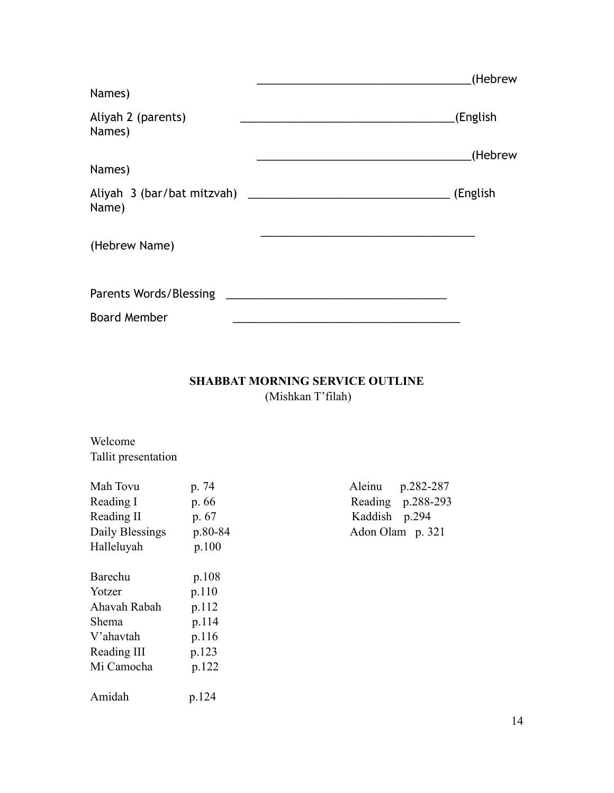|                                             | (Hebrew  |
|---------------------------------------------|----------|
| Names)                                      |          |
| Aliyah 2 (parents)<br>Names)                | (English |
|                                             | (Hebrew  |
| Names)                                      |          |
| Aliyah 3 (bar/bat mitzvah) _______<br>Name) | (English |
| (Hebrew Name)                               |          |
| Parents Words/Blessing                      |          |
| <b>Board Member</b>                         |          |

#### **SHABBAT MORNING SERVICE OUTLINE**  (Mishkan T'filah)

Welcome Tallit presentation

| Mah Tovu        | p. 74   | Aleinu        | p.282-287         |
|-----------------|---------|---------------|-------------------|
| Reading I       | p. 66   |               | Reading p.288-293 |
| Reading II      | p. 67   | Kaddish p.294 |                   |
| Daily Blessings | p.80-84 |               | Adon Olam p. 321  |
| Halleluyah      | p.100   |               |                   |
| Barechu         | p.108   |               |                   |
| Yotzer          | p.110   |               |                   |
| Ahavah Rabah    | p.112   |               |                   |
| Shema           | p.114   |               |                   |
| V'ahavtah       | p.116   |               |                   |
| Reading III     | p.123   |               |                   |
| Mi Camocha      | p.122   |               |                   |
| Amidah          | p.124   |               |                   |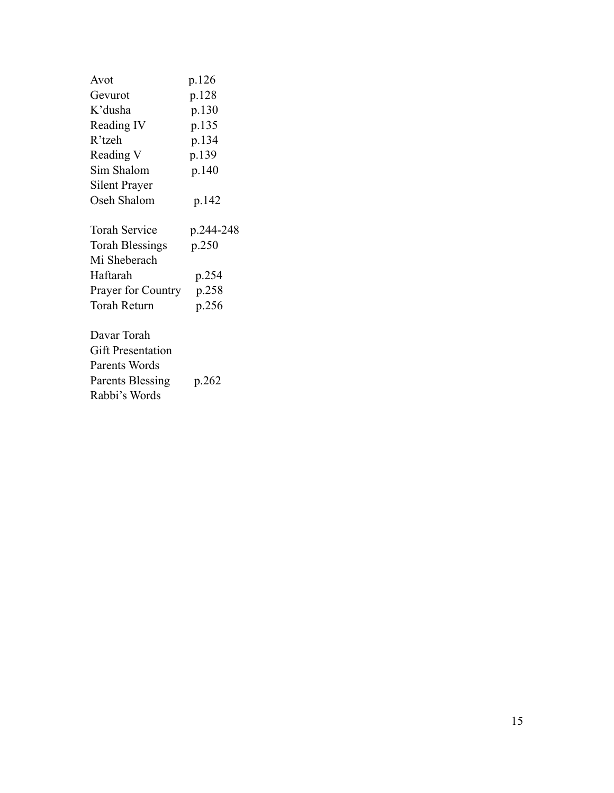| Avot                      | p.126     |
|---------------------------|-----------|
| Gevurot                   | p.128     |
| K'dusha                   | p.130     |
| Reading IV                | p.135     |
| R'tzeh                    | p.134     |
| Reading V                 | p.139     |
| Sim Shalom                | p.140     |
| Silent Prayer             |           |
| Oseh Shalom               | p.142     |
|                           |           |
| <b>Torah Service</b>      | p.244-248 |
| <b>Torah Blessings</b>    | p.250     |
| Mi Sheberach              |           |
| Haftarah                  | p.254     |
| <b>Prayer for Country</b> | p.258     |
| <b>Torah Return</b>       | p.256     |
|                           |           |
| Davar Torah               |           |
| <b>Gift Presentation</b>  |           |
| Parents Words             |           |
| <b>Parents Blessing</b>   | p.262     |
| Rabbi's Words             |           |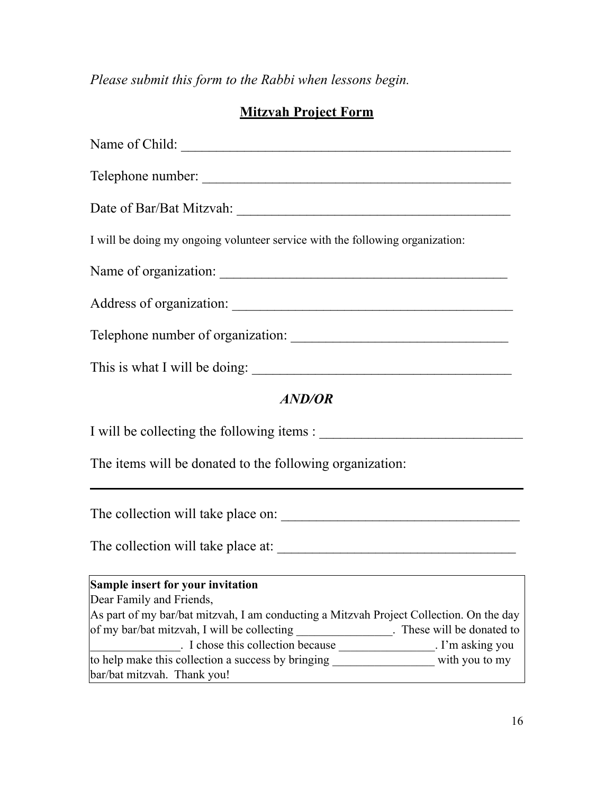*Please submit this form to the Rabbi when lessons begin.* 

## **Mitzvah Project Form**

| Name of Child:                                                                                                         |
|------------------------------------------------------------------------------------------------------------------------|
|                                                                                                                        |
|                                                                                                                        |
| I will be doing my ongoing volunteer service with the following organization:                                          |
|                                                                                                                        |
|                                                                                                                        |
|                                                                                                                        |
| This is what I will be doing:                                                                                          |
| <b>AND/OR</b>                                                                                                          |
|                                                                                                                        |
| The items will be donated to the following organization:                                                               |
|                                                                                                                        |
|                                                                                                                        |
| Sample insert for your invitation<br>Dear Family and Friends,                                                          |
| As part of my bar/bat mitzvah, I am conducting a Mitzvah Project Collection. On the day                                |
| of my bar/bat mitzvah, I will be collecting ________________. These will be donated to                                 |
| I chose this collection because ___________________. I'm asking you                                                    |
| to help make this collection a success by bringing _____________________ with you to my<br>bar/bat mitzvah. Thank you! |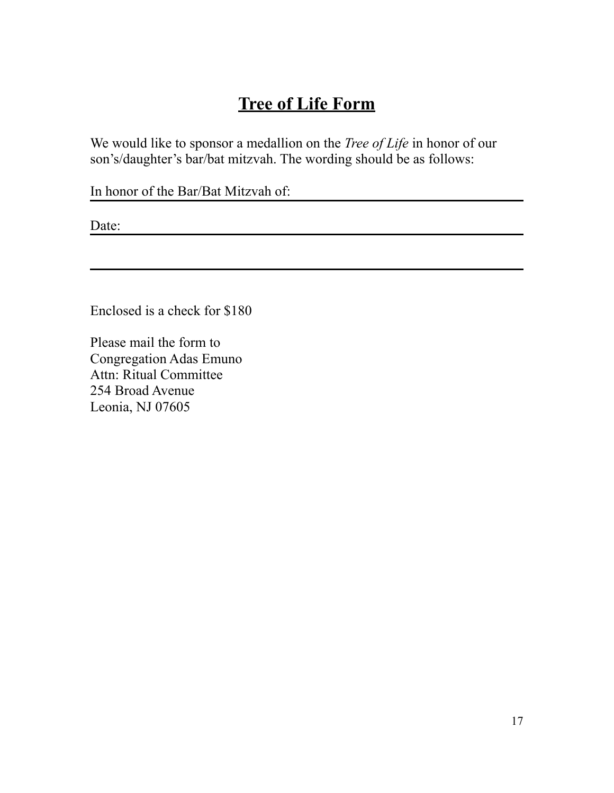# **Tree of Life Form**

We would like to sponsor a medallion on the *Tree of Life* in honor of our son's/daughter's bar/bat mitzvah. The wording should be as follows:

In honor of the Bar/Bat Mitzvah of:

Date:

Enclosed is a check for \$180

Please mail the form to Congregation Adas Emuno Attn: Ritual Committee 254 Broad Avenue Leonia, NJ 07605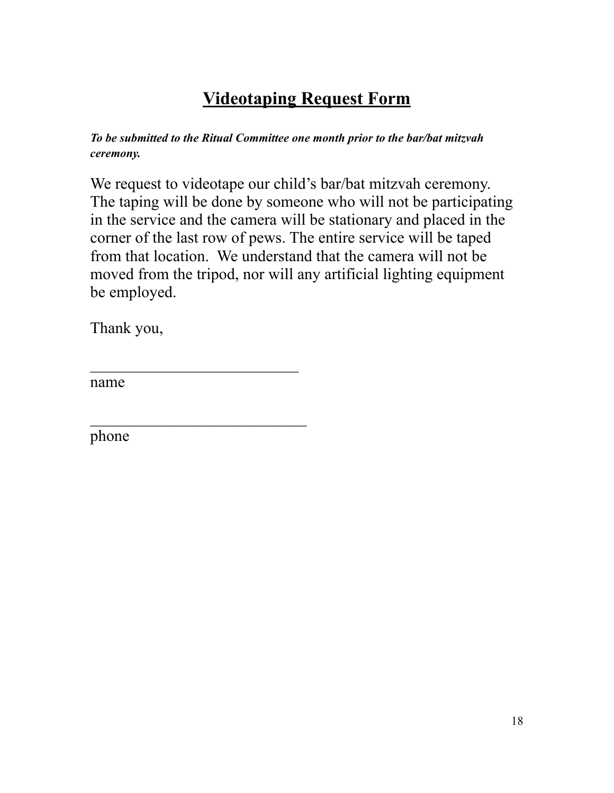# **Videotaping Request Form**

*To be submitted to the Ritual Committee one month prior to the bar/bat mitzvah ceremony.* 

We request to videotape our child's bar/bat mitzvah ceremony. The taping will be done by someone who will not be participating in the service and the camera will be stationary and placed in the corner of the last row of pews. The entire service will be taped from that location. We understand that the camera will not be moved from the tripod, nor will any artificial lighting equipment be employed.

Thank you,

 $\mathcal{L}_\text{max}$ 

 $\mathcal{L}_\text{max}$ 

name

phone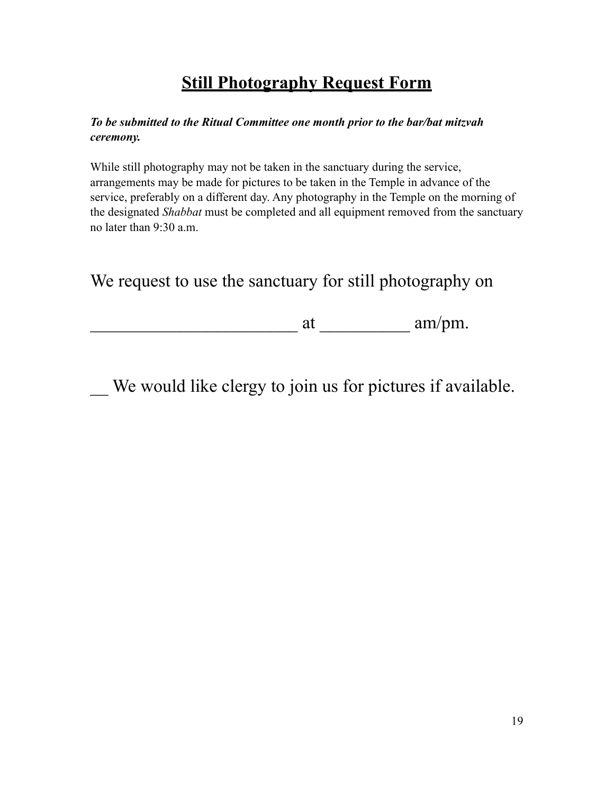# **Still Photography Request Form**

#### *To be submitted to the Ritual Committee one month prior to the bar/bat mitzvah ceremony.*

While still photography may not be taken in the sanctuary during the service, arrangements may be made for pictures to be taken in the Temple in advance of the service, preferably on a different day. Any photography in the Temple on the morning of the designated *Shabbat* must be completed and all equipment removed from the sanctuary no later than 9:30 a.m.

We request to use the sanctuary for still photography on

 $\frac{1}{\text{at}}$  at  $\frac{1}{\text{at}}$  am/pm.

We would like clergy to join us for pictures if available.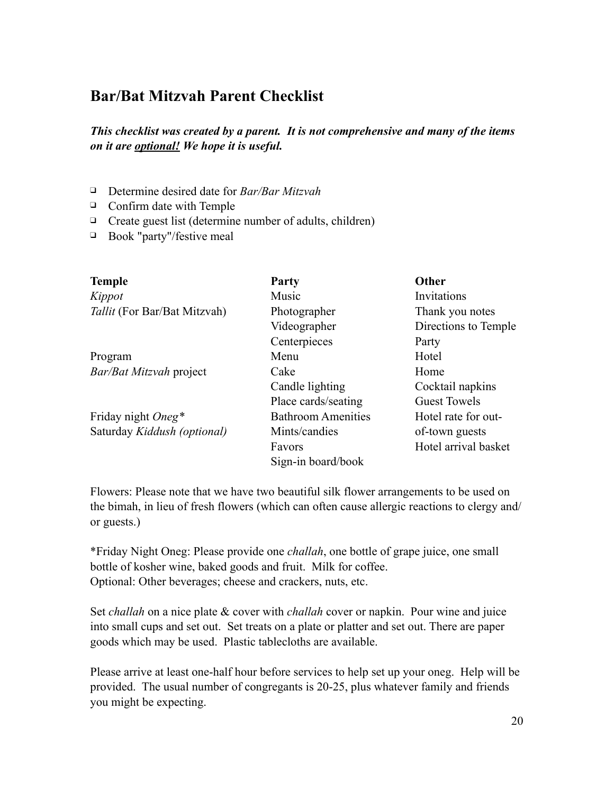## **Bar/Bat Mitzvah Parent Checklist**

*This checklist was created by a parent. It is not comprehensive and many of the items on it are optional! We hope it is useful.* 

- ❑ Determine desired date for *Bar/Bar Mitzvah*
- ❑ Confirm date with Temple
- ❑ Create guest list (determine number of adults, children)
- ❑ Book "party"/festive meal

| <b>Temple</b>                | <b>Party</b>              | Other                |
|------------------------------|---------------------------|----------------------|
| Kippot                       | Music                     | Invitations          |
| Tallit (For Bar/Bat Mitzvah) | Photographer              | Thank you notes      |
|                              | Videographer              | Directions to Temple |
|                              | Centerpieces              | Party                |
| Program                      | Menu                      | Hotel                |
| Bar/Bat Mitzvah project      | Cake                      | Home                 |
|                              | Candle lighting           | Cocktail napkins     |
|                              | Place cards/seating       | <b>Guest Towels</b>  |
| Friday night Oneg*           | <b>Bathroom Amenities</b> | Hotel rate for out-  |
| Saturday Kiddush (optional)  | Mints/candies             | of-town guests       |
|                              | Favors                    | Hotel arrival basket |
|                              | Sign-in board/book        |                      |

Flowers: Please note that we have two beautiful silk flower arrangements to be used on the bimah, in lieu of fresh flowers (which can often cause allergic reactions to clergy and/ or guests.)

\*Friday Night Oneg: Please provide one *challah*, one bottle of grape juice, one small bottle of kosher wine, baked goods and fruit. Milk for coffee. Optional: Other beverages; cheese and crackers, nuts, etc.

Set *challah* on a nice plate & cover with *challah* cover or napkin. Pour wine and juice into small cups and set out. Set treats on a plate or platter and set out. There are paper goods which may be used. Plastic tablecloths are available.

Please arrive at least one-half hour before services to help set up your oneg. Help will be provided. The usual number of congregants is 20-25, plus whatever family and friends you might be expecting.